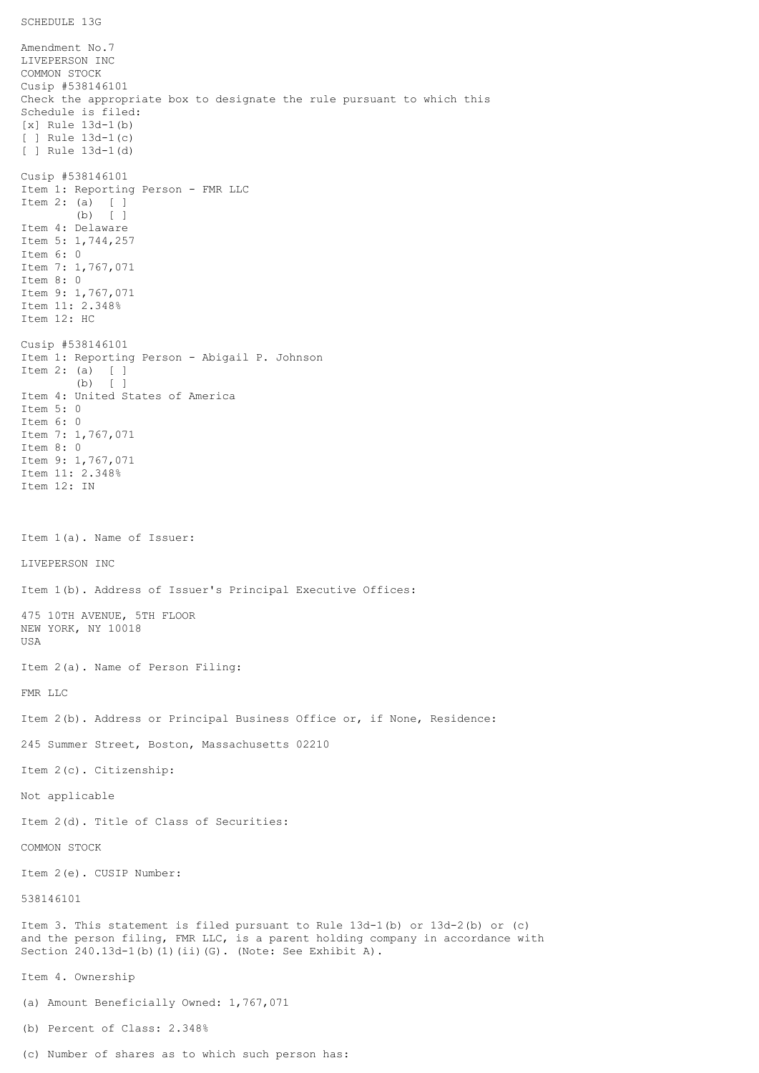Amendment No.7 LIVEPERSON INC COMMON STOCK Cusip #538146101 Check the appropriate box to designate the rule pursuant to which this Schedule is filed: [x] Rule 13d-1(b) [ ] Rule 13d-1(c) [ ] Rule 13d-1(d) Cusip #538146101 Item 1: Reporting Person - FMR LLC Item 2: (a) [ ] (b) [ ] Item 4: Delaware Item 5: 1,744,257 Item 6: 0 Item 7: 1,767,071 Item 8: 0 Item 9: 1,767,071 Item 11: 2.348% Item 12: HC Cusip #538146101 Item 1: Reporting Person - Abigail P. Johnson Item 2: (a) [ ] (b) [ ] Item 4: United States of America Item 5: 0 Item 6: 0 Item 7: 1,767,071 Item 8: 0 Item 9: 1,767,071 Item 11: 2.348% Item 12: IN Item 1(a). Name of Issuer: LIVEPERSON INC Item 1(b). Address of Issuer's Principal Executive Offices: 475 10TH AVENUE, 5TH FLOOR NEW YORK, NY 10018 USA Item 2(a). Name of Person Filing: FMR LLC Item 2(b). Address or Principal Business Office or, if None, Residence: 245 Summer Street, Boston, Massachusetts 02210 Item 2(c). Citizenship: Not applicable Item 2(d). Title of Class of Securities: COMMON STOCK Item 2(e). CUSIP Number: 538146101 Item 3. This statement is filed pursuant to Rule 13d-1(b) or 13d-2(b) or (c) and the person filing, FMR LLC, is a parent holding company in accordance with Section 240.13d-1(b)(1)(ii)(G). (Note: See Exhibit A). Item 4. Ownership (a) Amount Beneficially Owned: 1,767,071 (b) Percent of Class: 2.348%

(c) Number of shares as to which such person has: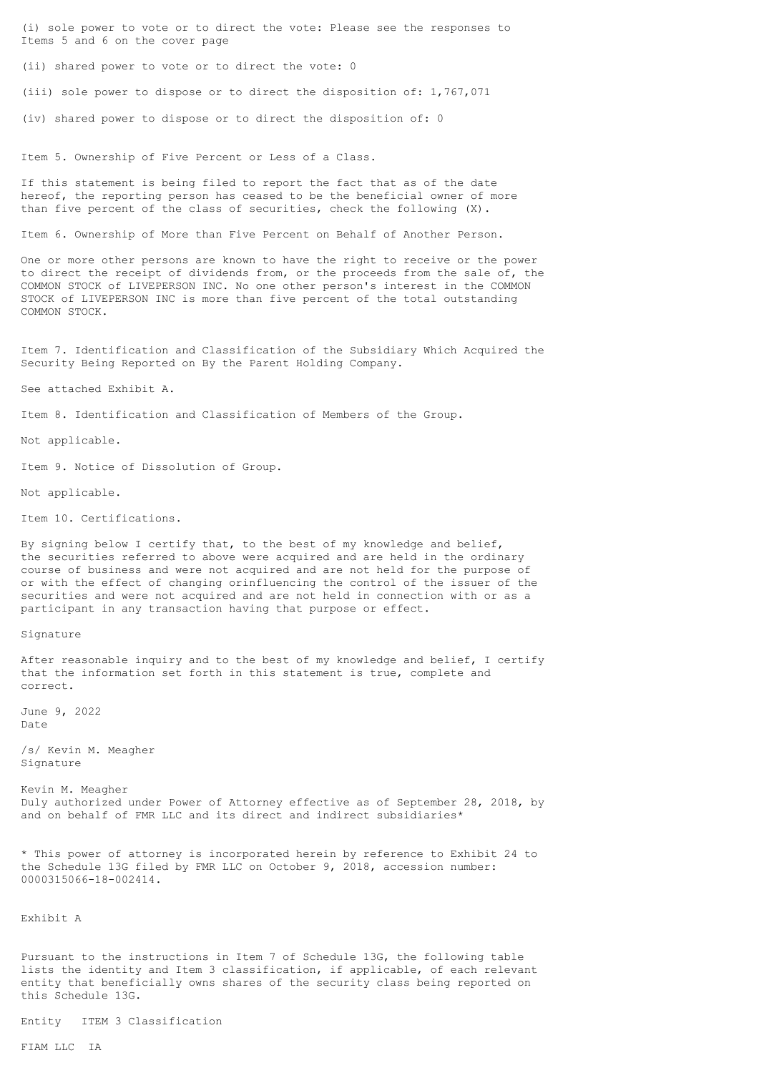(i) sole power to vote or to direct the vote: Please see the responses to Items 5 and 6 on the cover page

(ii) shared power to vote or to direct the vote: 0

(iii) sole power to dispose or to direct the disposition of: 1,767,071

(iv) shared power to dispose or to direct the disposition of: 0

Item 5. Ownership of Five Percent or Less of a Class.

If this statement is being filed to report the fact that as of the date hereof, the reporting person has ceased to be the beneficial owner of more than five percent of the class of securities, check the following (X).

Item 6. Ownership of More than Five Percent on Behalf of Another Person.

One or more other persons are known to have the right to receive or the power to direct the receipt of dividends from, or the proceeds from the sale of, the COMMON STOCK of LIVEPERSON INC. No one other person's interest in the COMMON STOCK of LIVEPERSON INC is more than five percent of the total outstanding COMMON STOCK.

Item 7. Identification and Classification of the Subsidiary Which Acquired the Security Being Reported on By the Parent Holding Company.

See attached Exhibit A.

Item 8. Identification and Classification of Members of the Group.

Not applicable.

Item 9. Notice of Dissolution of Group.

Not applicable.

Item 10. Certifications.

By signing below I certify that, to the best of my knowledge and belief, the securities referred to above were acquired and are held in the ordinary course of business and were not acquired and are not held for the purpose of or with the effect of changing orinfluencing the control of the issuer of the securities and were not acquired and are not held in connection with or as a participant in any transaction having that purpose or effect.

Signature

After reasonable inquiry and to the best of my knowledge and belief, I certify that the information set forth in this statement is true, complete and correct.

June 9, 2022 Date

/s/ Kevin M. Meagher Signature

Kevin M. Meagher Duly authorized under Power of Attorney effective as of September 28, 2018, by and on behalf of FMR LLC and its direct and indirect subsidiaries\*

\* This power of attorney is incorporated herein by reference to Exhibit 24 to the Schedule 13G filed by FMR LLC on October 9, 2018, accession number: 0000315066-18-002414.

Exhibit A

Pursuant to the instructions in Item 7 of Schedule 13G, the following table lists the identity and Item 3 classification, if applicable, of each relevant entity that beneficially owns shares of the security class being reported on this Schedule 13G.

Entity ITEM 3 Classification

FIAM LLC IA